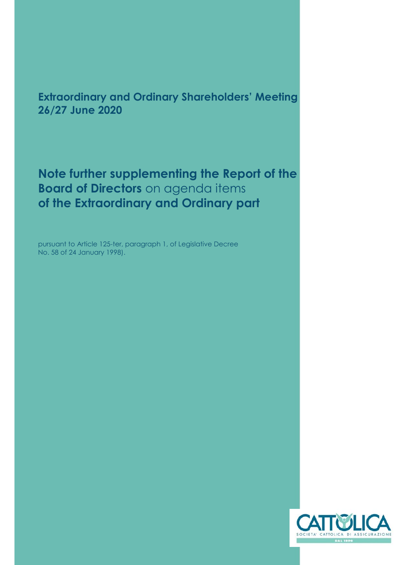## **Extraordinary and Ordinary Shareholders' Meeting 26/27 June 2020**

**Note further supplementing the Report of the Board of Directors** on agenda items **of the Extraordinary and Ordinary part**

pursuant to Article 125-ter, paragraph 1, of Legislative Decree No. 58 of 24 January 1998).

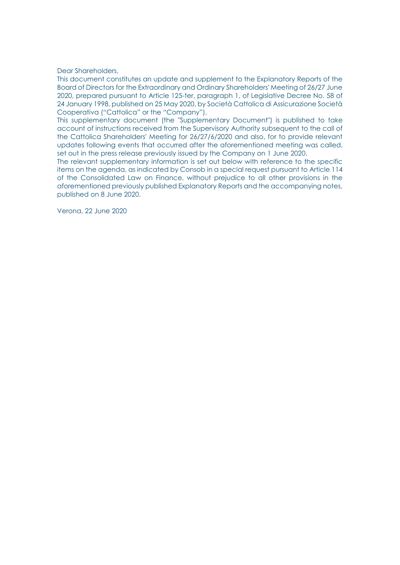Dear Shareholders,

This document constitutes an update and supplement to the Explanatory Reports of the Board of Directors for the Extraordinary and Ordinary Shareholders' Meeting of 26/27 June 2020, prepared pursuant to Article 125-ter, paragraph 1, of Legislative Decree No. 58 of 24 January 1998, published on 25 May 2020, by Società Cattolica di Assicurazione Società Cooperativa ("Cattolica" or the "Company").

This supplementary document (the "Supplementary Document") is published to take account of instructions received from the Supervisory Authority subsequent to the call of the Cattolica Shareholders' Meeting for 26/27/6/2020 and also, for to provide relevant updates following events that occurred after the aforementioned meeting was called, set out in the press release previously issued by the Company on 1 June 2020.

The relevant supplementary information is set out below with reference to the specific items on the agenda, as indicated by Consob in a special request pursuant to Article 114 of the Consolidated Law on Finance, without prejudice to all other provisions in the aforementioned previously published Explanatory Reports and the accompanying notes, published on 8 June 2020.

Verona, 22 June 2020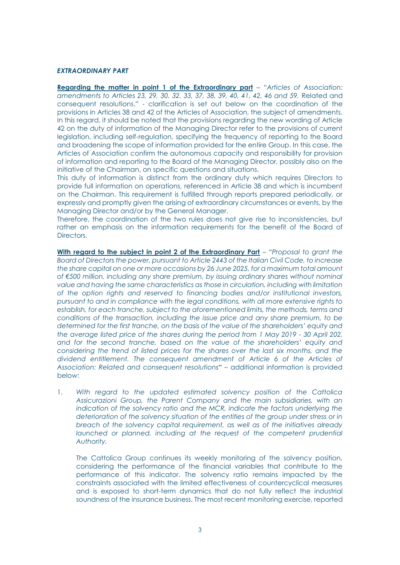## *EXTRAORDINARY PART*

**Regarding the matter in point 1 of the Extraordinary part** – "*Articles of Association: amendments to Articles 23, 29, 30, 32, 33, 37, 38, 39, 40, 41, 42, 46 and 59.* Related and consequent resolutions." - clarification is set out below on the coordination of the provisions in Articles 38 and 42 of the Articles of Association, the subject of amendments. In this regard, it should be noted that the provisions regarding the new wording of Article 42 on the duty of information of the Managing Director refer to the provisions of current legislation, including self-regulation, specifying the frequency of reporting to the Board and broadening the scope of information provided for the entire Group. In this case, the Articles of Association confirm the autonomous capacity and responsibility for provision of information and reporting to the Board of the Managing Director, possibly also on the initiative of the Chairman, on specific questions and situations.

This duty of information is distinct from the ordinary duty which requires Directors to provide full information on operations, referenced in Article 38 and which is incumbent on the Chairman. This requirement is fulfilled through reports prepared periodically, or expressly and promptly given the arising of extraordinary circumstances or events, by the Managing Director and/or by the General Manager.

Therefore, the coordination of the two rules does not give rise to inconsistencies, but rather an emphasis on the information requirements for the benefit of the Board of **Directors** 

With regard to the subject in point 2 of the Extraordinary Part – "Proposal to grant the *Board of Directors the power, pursuant to Article 2443 of the Italian Civil Code, to increase the share capital on one or more occasions by 26 June 2025, for a maximum total amount of €500 million, including any share premium, by issuing ordinary shares without nominal value and having the same characteristics as those in circulation, including with limitation of the option rights and reserved to financing bodies and/or institutional investors, pursuant to and in compliance with the legal conditions, with all more extensive rights to establish, for each tranche, subject to the aforementioned limits, the methods, terms and conditions of the transaction, including the issue price and any share premium, to be determined for the first tranche, on the basis of the value of the shareholders' equity and the average listed price of the shares during the period from 1 May 2019 - 30 April 202, and for the second tranche, based on the value of the shareholders' equity and considering the trend of listed prices for the shares over the last six months, and the dividend entitlement. The consequent amendment of Article 6 of the Articles of Association: Related and consequent resolutions*" – additional information is provided below:

1. *With regard to the updated estimated solvency position of the Cattolica Assicurazioni Group, the Parent Company and the main subsidiaries, with an indication of the solvency ratio and the MCR, indicate the factors underlying the deterioration of the solvency situation of the entities of the group under stress or in breach of the solvency capital requirement, as well as of the initiatives already launched or planned, including at the request of the competent prudential Authority.*

The Cattolica Group continues its weekly monitoring of the solvency position, considering the performance of the financial variables that contribute to the performance of this indicator. The solvency ratio remains impacted by the constraints associated with the limited effectiveness of countercyclical measures and is exposed to short-term dynamics that do not fully reflect the industrial soundness of the insurance business. The most recent monitoring exercise, reported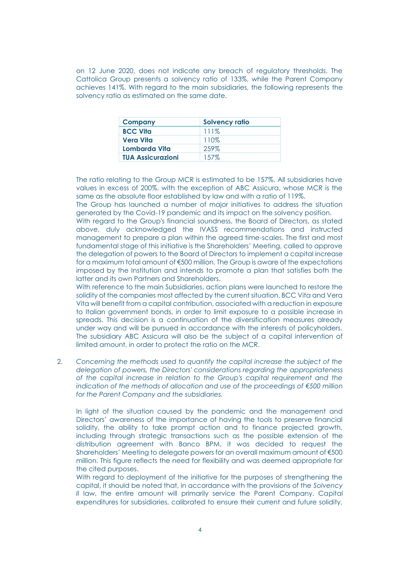on 12 June 2020, does not indicate any breach of regulatory thresholds. The Cattolica Group presents a solvency ratio of 133%, while the Parent Company achieves 141%. With regard to the main subsidiaries, the following represents the solvency ratio as estimated on the same date.

| <b>Company</b>           | <b>Solvency ratio</b> |
|--------------------------|-----------------------|
| <b>BCC Vita</b>          | 111%                  |
| Vera Vita                | 110%                  |
| Lombarda Vita            | 259%                  |
| <b>TUA Assicurazioni</b> | 157%                  |

The ratio relating to the Group MCR is estimated to be 157%. All subsidiaries have values in excess of 200%, with the exception of ABC Assicura, whose MCR is the same as the absolute floor established by law and with a ratio of 119%.

The Group has launched a number of major initiatives to address the situation generated by the Covid-19 pandemic and its impact on the solvency position.

With regard to the Group's financial soundness, the Board of Directors, as stated above, duly acknowledged the IVASS recommendations and instructed management to prepare a plan within the agreed time-scales. The first and most fundamental stage of this initiative is the Shareholders' Meeting, called to approve the delegation of powers to the Board of Directors to implement a capital increase for a maximum total amount of €500 million. The Group is aware of the expectations imposed by the Institution and intends to promote a plan that satisfies both the latter and its own Partners and Shareholders.

With reference to the main Subsidiaries, action plans were launched to restore the solidity of the companies most affected by the current situation. BCC Vita and Vera Vita will benefit from a capital contribution, associated with a reduction in exposure to Italian government bonds, in order to limit exposure to a possible increase in spreads. This decision is a continuation of the diversification measures already under way and will be pursued in accordance with the interests of policyholders. The subsidiary ABC Assicura will also be the subject of a capital intervention of limited amount, in order to protect the ratio on the MCR.

2. *Concerning the methods used to quantify the capital increase the subject of the delegation of powers, the Directors' considerations regarding the appropriateness of the capital increase in relation to the Group's capital requirement and the indication of the methods of allocation and use of the proceedings of €500 million for the Parent Company and the subsidiaries.*

In light of the situation caused by the pandemic and the management and Directors' awareness of the importance of having the tools to preserve financial solidity, the ability to take prompt action and to finance projected growth, including through strategic transactions such as the possible extension of the distribution agreement with Banco BPM, it was decided to request the Shareholders' Meeting to delegate powers for an overall maximum amount of €500 million. This figure reflects the need for flexibility and was deemed appropriate for the cited purposes.

With regard to deployment of the initiative for the purposes of strengthening the capital, it should be noted that, in accordance with the provisions of the *Solvency II* law, the entire amount will primarily service the Parent Company. Capital expenditures for subsidiaries, calibrated to ensure their current and future solidity,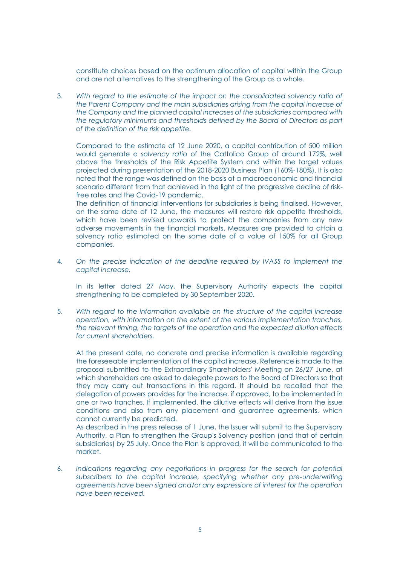constitute choices based on the optimum allocation of capital within the Group and are not alternatives to the strengthening of the Group as a whole.

3. *With regard to the estimate of the impact on the consolidated solvency ratio of the Parent Company and the main subsidiaries arising from the capital increase of the Company and the planned capital increases of the subsidiaries compared with the regulatory minimums and thresholds defined by the Board of Directors as part of the definition of the risk appetite.*

Compared to the estimate of 12 June 2020, a capital contribution of 500 million would generate a *solvency ratio* of the Cattolica Group of around 172%, well above the thresholds of the Risk Appetite System and within the target values projected during presentation of the 2018-2020 Business Plan (160%-180%). It is also noted that the range was defined on the basis of a macroeconomic and financial scenario different from that achieved in the light of the progressive decline of riskfree rates and the Covid-19 pandemic.

The definition of financial interventions for subsidiaries is being finalised. However, on the same date of 12 June, the measures will restore risk appetite thresholds, which have been revised upwards to protect the companies from any new adverse movements in the financial markets. Measures are provided to attain a solvency ratio estimated on the same date of a value of 150% for all Group companies.

4. *On the precise indication of the deadline required by IVASS to implement the capital increase.*

In its letter dated 27 May, the Supervisory Authority expects the capital strengthening to be completed by 30 September 2020.

5. *With regard to the information available on the structure of the capital increase operation, with information on the extent of the various implementation tranches, the relevant timing, the targets of the operation and the expected dilution effects for current shareholders.*

At the present date, no concrete and precise information is available regarding the foreseeable implementation of the capital increase. Reference is made to the proposal submitted to the Extraordinary Shareholders' Meeting on 26/27 June, at which shareholders are asked to delegate powers to the Board of Directors so that they may carry out transactions in this regard. It should be recalled that the delegation of powers provides for the increase, if approved, to be implemented in one or two tranches. If implemented, the dilutive effects will derive from the issue conditions and also from any placement and guarantee agreements, which cannot currently be predicted.

As described in the press release of 1 June, the Issuer will submit to the Supervisory Authority, a Plan to strengthen the Group's Solvency position (and that of certain subsidiaries) by 25 July. Once the Plan is approved, it will be communicated to the market.

6. *Indications regarding any negotiations in progress for the search for potential subscribers to the capital increase, specifying whether any pre-underwriting agreements have been signed and/or any expressions of interest for the operation have been received.*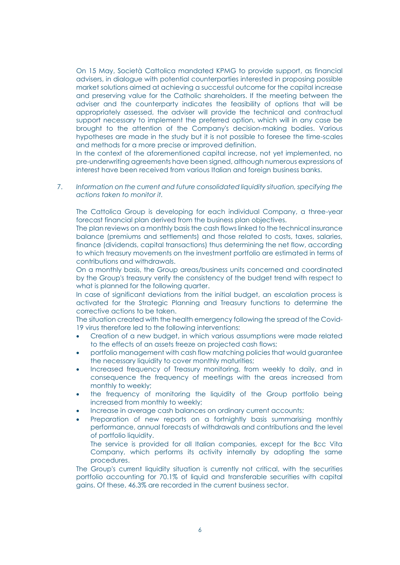On 15 May, Società Cattolica mandated KPMG to provide support, as financial advisers, in dialogue with potential counterparties interested in proposing possible market solutions aimed at achieving a successful outcome for the capital increase and preserving value for the Catholic shareholders. If the meeting between the adviser and the counterparty indicates the feasibility of options that will be appropriately assessed, the adviser will provide the technical and contractual support necessary to implement the preferred option, which will in any case be brought to the attention of the Company's decision-making bodies. Various hypotheses are made in the study but it is not possible to foresee the time-scales and methods for a more precise or improved definition.

In the context of the aforementioned capital increase, not yet implemented, no pre-underwriting agreements have been signed, although numerous expressions of interest have been received from various Italian and foreign business banks.

7. *Information on the current and future consolidated liquidity situation, specifying the actions taken to monitor it.*

The Cattolica Group is developing for each individual Company, a three-year forecast financial plan derived from the business plan objectives.

The plan reviews on a monthly basis the cash flows linked to the technical insurance balance (premiums and settlements) and those related to costs, taxes, salaries, finance (dividends, capital transactions) thus determining the net flow, according to which treasury movements on the investment portfolio are estimated in terms of contributions and withdrawals.

On a monthly basis, the Group areas/business units concerned and coordinated by the Group's treasury verify the consistency of the budget trend with respect to what is planned for the following quarter.

In case of significant deviations from the initial budget, an escalation process is activated for the Strategic Planning and Treasury functions to determine the corrective actions to be taken.

The situation created with the health emergency following the spread of the Covid-19 virus therefore led to the following interventions:

- Creation of a new budget, in which various assumptions were made related to the effects of an assets freeze on projected cash flows;
- portfolio management with cash flow matching policies that would guarantee the necessary liquidity to cover monthly maturities;
- Increased frequency of Treasury monitoring, from weekly to daily, and in consequence the frequency of meetings with the areas increased from monthly to weekly;
- the frequency of monitoring the liquidity of the Group portfolio being increased from monthly to weekly;
- Increase in average cash balances on ordinary current accounts;
- Preparation of new reports on a fortnightly basis summarising monthly performance, annual forecasts of withdrawals and contributions and the level of portfolio liquidity.

The service is provided for all Italian companies, except for the Bcc Vita Company, which performs its activity internally by adopting the same procedures.

The Group's current liquidity situation is currently not critical, with the securities portfolio accounting for 70.1% of liquid and transferable securities with capital gains. Of these, 46.3% are recorded in the current business sector.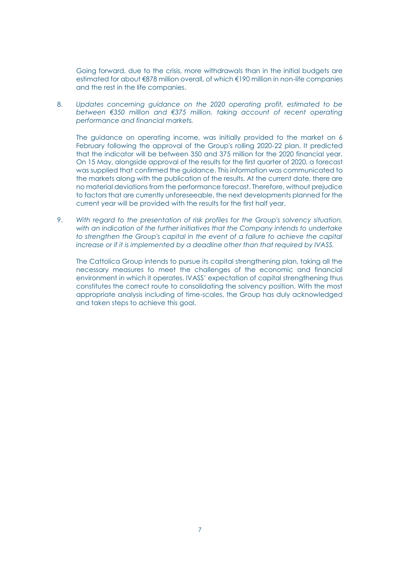Going forward, due to the crisis, more withdrawals than in the initial budgets are estimated for about €878 million overall, of which €190 million in non-life companies and the rest in the life companies.

8. *Updates concerning guidance on the 2020 operating profit, estimated to be between €350 million and €375 million, taking account of recent operating performance and financial markets.*

The guidance on operating income, was initially provided to the market on 6 February following the approval of the Group's rolling 2020-22 plan. It predicted that the indicator will be between 350 and 375 million for the 2020 financial year. On 15 May, alongside approval of the results for the first quarter of 2020, a forecast was supplied that confirmed the guidance. This information was communicated to the markets along with the publication of the results. At the current date, there are no material deviations from the performance forecast. Therefore, without prejudice to factors that are currently unforeseeable, the next developments planned for the current year will be provided with the results for the first half year.

9. *With regard to the presentation of risk profiles for the Group's solvency situation,*  with an indication of the further initiatives that the Company intends to undertake *to strengthen the Group's capital in the event of a failure to achieve the capital increase or if it is implemented by a deadline other than that required by IVASS.*

The Cattolica Group intends to pursue its capital strengthening plan, taking all the necessary measures to meet the challenges of the economic and financial environment in which it operates. IVASS' expectation of capital strengthening thus constitutes the correct route to consolidating the solvency position. With the most appropriate analysis including of time-scales, the Group has duly acknowledged and taken steps to achieve this goal.